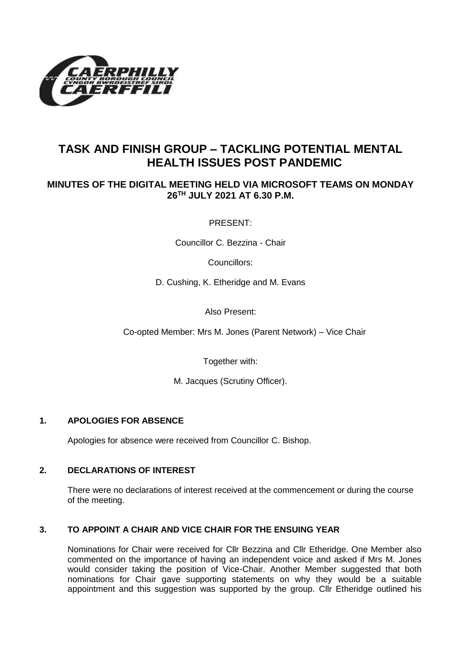

# **TASK AND FINISH GROUP – TACKLING POTENTIAL MENTAL HEALTH ISSUES POST PANDEMIC**

## **MINUTES OF THE DIGITAL MEETING HELD VIA MICROSOFT TEAMS ON MONDAY 26 TH JULY 2021 AT 6.30 P.M.**

PRESENT:

Councillor C. Bezzina - Chair

Councillors:

D. Cushing, K. Etheridge and M. Evans

Also Present:

Co-opted Member: Mrs M. Jones (Parent Network) – Vice Chair

Together with:

M. Jacques (Scrutiny Officer).

### **1. APOLOGIES FOR ABSENCE**

Apologies for absence were received from Councillor C. Bishop.

### **2. DECLARATIONS OF INTEREST**

There were no declarations of interest received at the commencement or during the course of the meeting.

### **3. TO APPOINT A CHAIR AND VICE CHAIR FOR THE ENSUING YEAR**

Nominations for Chair were received for Cllr Bezzina and Cllr Etheridge. One Member also commented on the importance of having an independent voice and asked if Mrs M. Jones would consider taking the position of Vice-Chair. Another Member suggested that both nominations for Chair gave supporting statements on why they would be a suitable appointment and this suggestion was supported by the group. Cllr Etheridge outlined his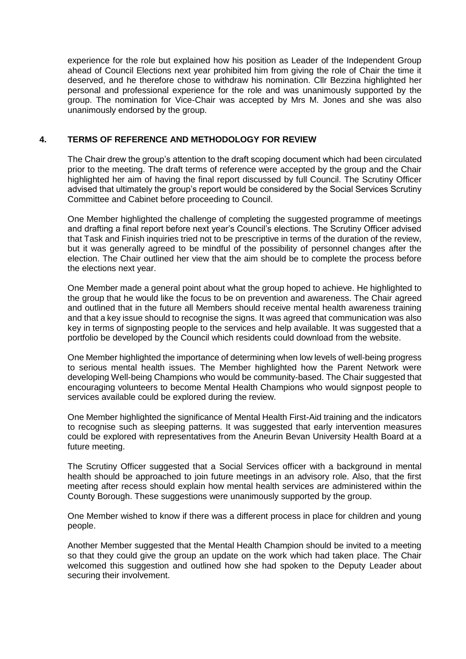experience for the role but explained how his position as Leader of the Independent Group ahead of Council Elections next year prohibited him from giving the role of Chair the time it deserved, and he therefore chose to withdraw his nomination. Cllr Bezzina highlighted her personal and professional experience for the role and was unanimously supported by the group. The nomination for Vice-Chair was accepted by Mrs M. Jones and she was also unanimously endorsed by the group.

#### **4. TERMS OF REFERENCE AND METHODOLOGY FOR REVIEW**

The Chair drew the group's attention to the draft scoping document which had been circulated prior to the meeting. The draft terms of reference were accepted by the group and the Chair highlighted her aim of having the final report discussed by full Council. The Scrutiny Officer advised that ultimately the group's report would be considered by the Social Services Scrutiny Committee and Cabinet before proceeding to Council.

One Member highlighted the challenge of completing the suggested programme of meetings and drafting a final report before next year's Council's elections. The Scrutiny Officer advised that Task and Finish inquiries tried not to be prescriptive in terms of the duration of the review, but it was generally agreed to be mindful of the possibility of personnel changes after the election. The Chair outlined her view that the aim should be to complete the process before the elections next year.

One Member made a general point about what the group hoped to achieve. He highlighted to the group that he would like the focus to be on prevention and awareness. The Chair agreed and outlined that in the future all Members should receive mental health awareness training and that a key issue should to recognise the signs. It was agreed that communication was also key in terms of signposting people to the services and help available. It was suggested that a portfolio be developed by the Council which residents could download from the website.

One Member highlighted the importance of determining when low levels of well-being progress to serious mental health issues. The Member highlighted how the Parent Network were developing Well-being Champions who would be community-based. The Chair suggested that encouraging volunteers to become Mental Health Champions who would signpost people to services available could be explored during the review.

One Member highlighted the significance of Mental Health First-Aid training and the indicators to recognise such as sleeping patterns. It was suggested that early intervention measures could be explored with representatives from the Aneurin Bevan University Health Board at a future meeting.

The Scrutiny Officer suggested that a Social Services officer with a background in mental health should be approached to join future meetings in an advisory role. Also, that the first meeting after recess should explain how mental health services are administered within the County Borough. These suggestions were unanimously supported by the group.

One Member wished to know if there was a different process in place for children and young people.

Another Member suggested that the Mental Health Champion should be invited to a meeting so that they could give the group an update on the work which had taken place. The Chair welcomed this suggestion and outlined how she had spoken to the Deputy Leader about securing their involvement.